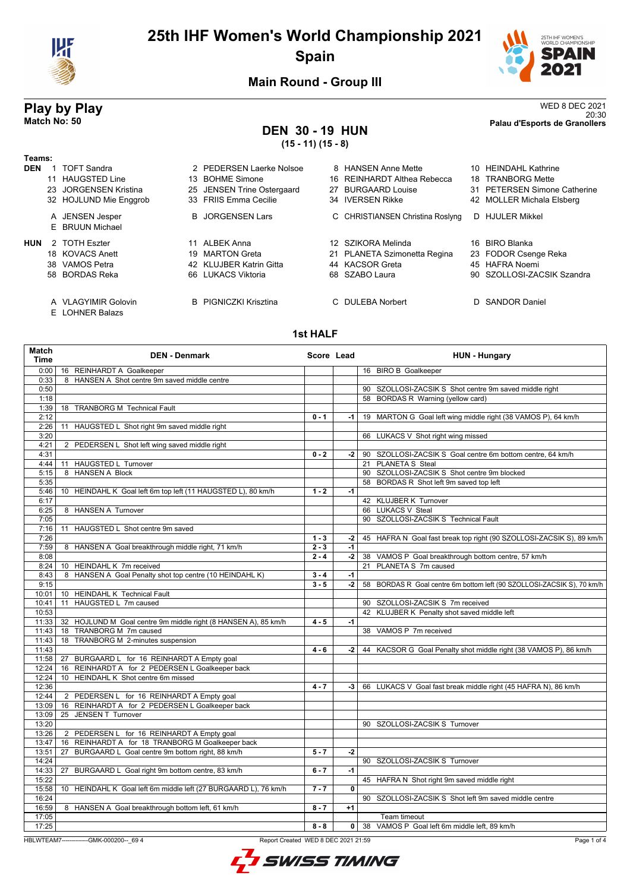

# **25th IHF Women's World Championship 2021 Spain**



20:30 **Match No: 50 Palau d'Esports de Granollers**

**Main Round - Group III**

# **Play by Play**<br>Match No: 50<br>Palau d'Esports de Granollers

# **DEN 30 - 19 HUN**

**(15 - 11) (15 - 8)**

| Teams:     |    |                                                                                     |           |                                                                                                            |    |                                                                                                  |    |                                                                                                            |
|------------|----|-------------------------------------------------------------------------------------|-----------|------------------------------------------------------------------------------------------------------------|----|--------------------------------------------------------------------------------------------------|----|------------------------------------------------------------------------------------------------------------|
| <b>DEN</b> | 23 | TOFT Sandra<br><b>HAUGSTED Line</b><br>JORGENSEN Kristina<br>32 HOJLUND Mie Enggrob | 13<br>33  | 2 PEDERSEN Laerke Nolsoe<br><b>BOHME Simone</b><br>25 JENSEN Trine Ostergaard<br><b>FRIIS Emma Cecilie</b> | 27 | 8 HANSEN Anne Mette<br>16 REINHARDT Althea Rebecca<br><b>BURGAARD Louise</b><br>34 IVERSEN Rikke | 31 | 10 HEINDAHL Kathrine<br>18 TRANBORG Mette<br><b>PETERSEN Simone Catherine</b><br>42 MOLLER Michala Elsberg |
|            |    | A JENSEN Jesper<br>E BRUUN Michael                                                  |           | <b>B</b> JORGENSEN Lars                                                                                    |    | C CHRISTIANSEN Christina Roslyng                                                                 |    | D HJULER Mikkel                                                                                            |
| <b>HUN</b> | 38 | 2 TOTH Eszter<br>18 KOVACS Anett<br>VAMOS Petra<br>58 BORDAS Reka                   | 19<br>66. | ALBEK Anna<br><b>MARTON Greta</b><br>42 KLUJBER Katrin Gitta<br>LUKACS Viktoria                            | 21 | 12 SZIKORA Melinda<br>PLANETA Szimonetta Regina<br>44 KACSOR Greta<br>68 SZABO Laura             |    | 16 BIRO Blanka<br>23 FODOR Csenge Reka<br>45 HAFRA Noemi<br>90 SZOLLOSI-ZACSIK Szandra                     |
|            |    | A VLAGYIMIR Golovin<br>E LOHNER Balazs                                              |           | <b>B</b> PIGNICZKI Krisztina                                                                               |    | C DULEBA Norbert                                                                                 |    | D SANDOR Daniel                                                                                            |

#### **1st HALF**

| <b>Match</b><br>Time | <b>DEN - Denmark</b>                                            | Score Lead |              | <b>HUN - Hungary</b>                                                                   |
|----------------------|-----------------------------------------------------------------|------------|--------------|----------------------------------------------------------------------------------------|
| 0:00                 | 16 REINHARDT A Goalkeeper                                       |            |              | 16 BIRO B Goalkeeper                                                                   |
| 0:33                 | 8 HANSEN A Shot centre 9m saved middle centre                   |            |              |                                                                                        |
| 0:50                 |                                                                 |            |              | 90 SZOLLOSI-ZACSIK S Shot centre 9m saved middle right                                 |
| 1:18                 |                                                                 |            |              | 58 BORDAS R Warning (yellow card)                                                      |
| 1:39                 | 18 TRANBORG M Technical Fault                                   |            |              |                                                                                        |
| 2:12                 |                                                                 | $0 - 1$    | $-1$         | 19 MARTON G Goal left wing middle right (38 VAMOS P), 64 km/h                          |
| 2:26                 | 11 HAUGSTED L Shot right 9m saved middle right                  |            |              |                                                                                        |
| 3:20                 |                                                                 |            |              | 66 LUKACS V Shot right wing missed                                                     |
| 4:21                 | 2 PEDERSEN L Shot left wing saved middle right                  |            |              |                                                                                        |
| 4:31                 |                                                                 | $0 - 2$    | -2           | 90 SZOLLOSI-ZACSIK S Goal centre 6m bottom centre, 64 km/h                             |
| 4:44                 | 11 HAUGSTED L Turnover                                          |            |              | 21 PLANETA S Steal                                                                     |
| 5:15<br>5:35         | 8 HANSEN A Block                                                |            |              | 90 SZOLLOSI-ZACSIK S Shot centre 9m blocked<br>58 BORDAS R Shot left 9m saved top left |
|                      |                                                                 | $1 - 2$    |              |                                                                                        |
| 5:46<br>6:17         | 10 HEINDAHL K Goal left 6m top left (11 HAUGSTED L), 80 km/h    |            | $-1$         | 42 KLUJBER K Turnover                                                                  |
|                      |                                                                 |            |              |                                                                                        |
| 6:25<br>7:05         | 8 HANSEN A Turnover                                             |            |              | 66 LUKACS V Steal<br>90 SZOLLOSI-ZACSIK S Technical Fault                              |
| 7:16                 | 11 HAUGSTED L Shot centre 9m saved                              |            |              |                                                                                        |
| 7:26                 |                                                                 | $1 - 3$    |              | 45 HAFRA N Goal fast break top right (90 SZOLLOSI-ZACSIK S), 89 km/h                   |
| 7:59                 | 8 HANSEN A Goal breakthrough middle right, 71 km/h              | $2 - 3$    | $-2$<br>$-1$ |                                                                                        |
| 8:08                 |                                                                 | $2 - 4$    | -2           | 38 VAMOS P Goal breakthrough bottom centre, 57 km/h                                    |
| 8:24                 | 10 HEINDAHL K 7m received                                       |            |              | 21 PLANETA S 7m caused                                                                 |
| 8:43                 | 8 HANSEN A Goal Penalty shot top centre (10 HEINDAHL K)         | $3 - 4$    | $-1$         |                                                                                        |
| 9:15                 |                                                                 | $3 - 5$    | -2           | 58 BORDAS R Goal centre 6m bottom left (90 SZOLLOSI-ZACSIK S), 70 km/h                 |
| 10:01                | 10 HEINDAHL K Technical Fault                                   |            |              |                                                                                        |
| 10:41                | 11 HAUGSTED L 7m caused                                         |            |              | 90 SZOLLOSI-ZACSIK S 7m received                                                       |
| 10:53                |                                                                 |            |              | 42 KLUJBER K Penalty shot saved middle left                                            |
| 11:33                | 32 HOJLUND M Goal centre 9m middle right (8 HANSEN A), 85 km/h  | $4 - 5$    | $-1$         |                                                                                        |
| 11:43                | 18 TRANBORG M 7m caused                                         |            |              | 38 VAMOS P 7m received                                                                 |
| 11:43                | 18 TRANBORG M 2-minutes suspension                              |            |              |                                                                                        |
| 11:43                |                                                                 | $4 - 6$    | -2           | 44 KACSOR G Goal Penalty shot middle right (38 VAMOS P), 86 km/h                       |
| 11:58                | 27 BURGAARD L for 16 REINHARDT A Empty goal                     |            |              |                                                                                        |
| 12:24                | 16 REINHARDT A for 2 PEDERSEN L Goalkeeper back                 |            |              |                                                                                        |
| 12:24                | 10 HEINDAHL K Shot centre 6m missed                             |            |              |                                                                                        |
| 12:36                |                                                                 | $4 - 7$    |              | -3 $\vert$ 66 LUKACS V Goal fast break middle right (45 HAFRA N), 86 km/h              |
| 12:44                | 2 PEDERSEN L for 16 REINHARDT A Empty goal                      |            |              |                                                                                        |
| 13:09                | 16 REINHARDT A for 2 PEDERSEN L Goalkeeper back                 |            |              |                                                                                        |
| 13:09                | 25 JENSEN T Turnover                                            |            |              |                                                                                        |
| 13:20                |                                                                 |            |              | 90 SZOLLOSI-ZACSIK S Turnover                                                          |
| 13:26                | 2 PEDERSEN L for 16 REINHARDT A Empty goal                      |            |              |                                                                                        |
| 13:47                | 16 REINHARDT A for 18 TRANBORG M Goalkeeper back                |            |              |                                                                                        |
| 13:51                | 27 BURGAARD L Goal centre 9m bottom right, 88 km/h              | $5 - 7$    | $-2$         |                                                                                        |
| 14:24                |                                                                 |            |              | 90 SZOLLOSI-ZACSIK S Turnover                                                          |
| 14:33                | 27 BURGAARD L Goal right 9m bottom centre, 83 km/h              | $6 - 7$    | $-1$         |                                                                                        |
| 15:22                |                                                                 |            |              | 45 HAFRA N Shot right 9m saved middle right                                            |
| 15:58                | 10 HEINDAHL K Goal left 6m middle left (27 BURGAARD L), 76 km/h | $7 - 7$    | 0            |                                                                                        |
| 16:24                |                                                                 |            |              | 90 SZOLLOSI-ZACSIK S Shot left 9m saved middle centre                                  |
| 16:59                | 8 HANSEN A Goal breakthrough bottom left, 61 km/h               | $8 - 7$    | $+1$         |                                                                                        |
| 17:05                |                                                                 |            |              | Team timeout                                                                           |
| 17:25                |                                                                 | $8 - 8$    |              | 0 38 VAMOS P Goal left 6m middle left, 89 km/h                                         |

HBLWTEAM7--------------GMK-000200--\_69 4 Report Created WED 8 DEC 2021 21:59

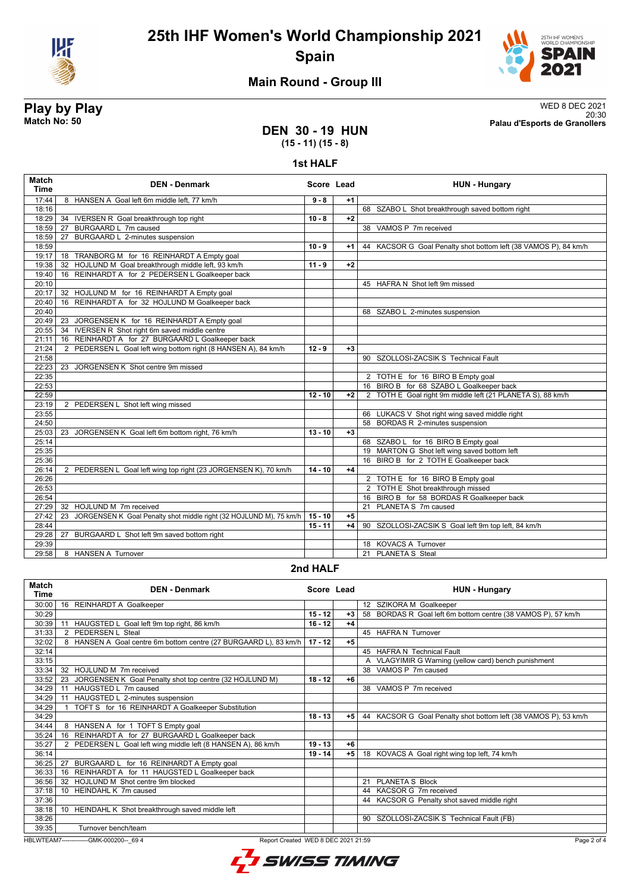



### **Main Round - Group III**

**Play by Play**<br>Match No: 50<br>Palau d'Esports de Granollers 20:30 **Match No: 50 Palau d'Esports de Granollers**

#### **DEN 30 - 19 HUN (15 - 11) (15 - 8)**

**1st HALF**

| 8 HANSEN A Goal left 6m middle left, 77 km/h<br>$9 - 8$<br>17:44<br>$+1$<br>18:16<br>68 SZABO L Shot breakthrough saved bottom right<br>18:29<br>$+2$<br>34 IVERSEN R Goal breakthrough top right<br>$10 - 8$<br><b>BURGAARD L 7m caused</b><br>38 VAMOS P 7m received<br>18:59<br>27<br>18:59<br>BURGAARD L 2-minutes suspension<br>27<br>18:59<br>$10 - 9$<br>44 KACSOR G Goal Penalty shot bottom left (38 VAMOS P), 84 km/h<br>$+1$<br>19:17<br>18 TRANBORG M for 16 REINHARDT A Empty goal<br>HOJLUND M Goal breakthrough middle left, 93 km/h<br>$11 - 9$<br>$+2$<br>19:38<br>32<br>16 REINHARDT A for 2 PEDERSEN L Goalkeeper back<br>19:40<br>20:10<br>45 HAFRA N Shot left 9m missed<br>32 HOJLUND M for 16 REINHARDT A Empty goal<br>20:17<br>16 REINHARDT A for 32 HOJLUND M Goalkeeper back<br>20:40<br>20:40<br>68 SZABO L 2-minutes suspension<br>23 JORGENSEN K for 16 REINHARDT A Empty goal<br>20:49<br>34 IVERSEN R Shot right 6m saved middle centre<br>20:55<br>16 REINHARDT A for 27 BURGAARD L Goalkeeper back<br>21:11<br>2 PEDERSEN L Goal left wing bottom right (8 HANSEN A), 84 km/h<br>21:24<br>$12 - 9$<br>$+3$<br>21:58<br>90 SZOLLOSI-ZACSIK S Technical Fault<br>22:23<br>23 JORGENSEN K Shot centre 9m missed<br>22:35<br>2 TOTH E for 16 BIRO B Empty goal<br>16 BIRO B for 68 SZABO L Goalkeeper back<br>22:53<br>22:59<br>2 TOTH E Goal right 9m middle left (21 PLANETA S), 88 km/h<br>$12 - 10$<br>$+2$<br>23:19<br>2 PEDERSEN L Shot left wing missed<br>23:55<br>66 LUKACS V Shot right wing saved middle right<br>58 BORDAS R 2-minutes suspension<br>24:50<br>25:03<br>23 JORGENSEN K Goal left 6m bottom right, 76 km/h<br>$13 - 10$<br>$+3$<br>25:14<br>68 SZABO L for 16 BIRO B Empty goal<br>19 MARTON G Shot left wing saved bottom left<br>25:35<br>25:36<br>16 BIRO B for 2 TOTH E Goalkeeper back<br>26:14<br>2 PEDERSEN L Goal left wing top right (23 JORGENSEN K), 70 km/h<br>$14 - 10$<br>$+4$<br>26:26<br>2 TOTH E for 16 BIRO B Empty goal<br>2 TOTH E Shot breakthrough missed<br>26:53<br>26:54<br>16 BIRO B for 58 BORDAS R Goalkeeper back<br>32 HOJLUND M 7m received<br>21 PLANETA S 7m caused<br>27:29<br>27:42<br>JORGENSEN K Goal Penalty shot middle right (32 HOJLUND M), 75 km/h<br>$15 - 10$<br>$+5$<br>23<br>28:44<br>$15 - 11$<br>90 SZOLLOSI-ZACSIK S Goal left 9m top left, 84 km/h<br>$+4$<br>29:28<br>27 BURGAARD L Shot left 9m saved bottom right<br>18 KOVACS A Turnover<br>29:39<br>29:58<br>8 HANSEN A Turnover<br>21 PLANETA S Steal | Match<br><b>Time</b> | <b>DEN - Denmark</b> | Score Lead | <b>HUN - Hungary</b> |
|-----------------------------------------------------------------------------------------------------------------------------------------------------------------------------------------------------------------------------------------------------------------------------------------------------------------------------------------------------------------------------------------------------------------------------------------------------------------------------------------------------------------------------------------------------------------------------------------------------------------------------------------------------------------------------------------------------------------------------------------------------------------------------------------------------------------------------------------------------------------------------------------------------------------------------------------------------------------------------------------------------------------------------------------------------------------------------------------------------------------------------------------------------------------------------------------------------------------------------------------------------------------------------------------------------------------------------------------------------------------------------------------------------------------------------------------------------------------------------------------------------------------------------------------------------------------------------------------------------------------------------------------------------------------------------------------------------------------------------------------------------------------------------------------------------------------------------------------------------------------------------------------------------------------------------------------------------------------------------------------------------------------------------------------------------------------------------------------------------------------------------------------------------------------------------------------------------------------------------------------------------------------------------------------------------------------------------------------------------------------------------------------------------------------------------------------------------------------------------------------------------------------------|----------------------|----------------------|------------|----------------------|
|                                                                                                                                                                                                                                                                                                                                                                                                                                                                                                                                                                                                                                                                                                                                                                                                                                                                                                                                                                                                                                                                                                                                                                                                                                                                                                                                                                                                                                                                                                                                                                                                                                                                                                                                                                                                                                                                                                                                                                                                                                                                                                                                                                                                                                                                                                                                                                                                                                                                                                                       |                      |                      |            |                      |
|                                                                                                                                                                                                                                                                                                                                                                                                                                                                                                                                                                                                                                                                                                                                                                                                                                                                                                                                                                                                                                                                                                                                                                                                                                                                                                                                                                                                                                                                                                                                                                                                                                                                                                                                                                                                                                                                                                                                                                                                                                                                                                                                                                                                                                                                                                                                                                                                                                                                                                                       |                      |                      |            |                      |
|                                                                                                                                                                                                                                                                                                                                                                                                                                                                                                                                                                                                                                                                                                                                                                                                                                                                                                                                                                                                                                                                                                                                                                                                                                                                                                                                                                                                                                                                                                                                                                                                                                                                                                                                                                                                                                                                                                                                                                                                                                                                                                                                                                                                                                                                                                                                                                                                                                                                                                                       |                      |                      |            |                      |
|                                                                                                                                                                                                                                                                                                                                                                                                                                                                                                                                                                                                                                                                                                                                                                                                                                                                                                                                                                                                                                                                                                                                                                                                                                                                                                                                                                                                                                                                                                                                                                                                                                                                                                                                                                                                                                                                                                                                                                                                                                                                                                                                                                                                                                                                                                                                                                                                                                                                                                                       |                      |                      |            |                      |
|                                                                                                                                                                                                                                                                                                                                                                                                                                                                                                                                                                                                                                                                                                                                                                                                                                                                                                                                                                                                                                                                                                                                                                                                                                                                                                                                                                                                                                                                                                                                                                                                                                                                                                                                                                                                                                                                                                                                                                                                                                                                                                                                                                                                                                                                                                                                                                                                                                                                                                                       |                      |                      |            |                      |
|                                                                                                                                                                                                                                                                                                                                                                                                                                                                                                                                                                                                                                                                                                                                                                                                                                                                                                                                                                                                                                                                                                                                                                                                                                                                                                                                                                                                                                                                                                                                                                                                                                                                                                                                                                                                                                                                                                                                                                                                                                                                                                                                                                                                                                                                                                                                                                                                                                                                                                                       |                      |                      |            |                      |
|                                                                                                                                                                                                                                                                                                                                                                                                                                                                                                                                                                                                                                                                                                                                                                                                                                                                                                                                                                                                                                                                                                                                                                                                                                                                                                                                                                                                                                                                                                                                                                                                                                                                                                                                                                                                                                                                                                                                                                                                                                                                                                                                                                                                                                                                                                                                                                                                                                                                                                                       |                      |                      |            |                      |
|                                                                                                                                                                                                                                                                                                                                                                                                                                                                                                                                                                                                                                                                                                                                                                                                                                                                                                                                                                                                                                                                                                                                                                                                                                                                                                                                                                                                                                                                                                                                                                                                                                                                                                                                                                                                                                                                                                                                                                                                                                                                                                                                                                                                                                                                                                                                                                                                                                                                                                                       |                      |                      |            |                      |
|                                                                                                                                                                                                                                                                                                                                                                                                                                                                                                                                                                                                                                                                                                                                                                                                                                                                                                                                                                                                                                                                                                                                                                                                                                                                                                                                                                                                                                                                                                                                                                                                                                                                                                                                                                                                                                                                                                                                                                                                                                                                                                                                                                                                                                                                                                                                                                                                                                                                                                                       |                      |                      |            |                      |
|                                                                                                                                                                                                                                                                                                                                                                                                                                                                                                                                                                                                                                                                                                                                                                                                                                                                                                                                                                                                                                                                                                                                                                                                                                                                                                                                                                                                                                                                                                                                                                                                                                                                                                                                                                                                                                                                                                                                                                                                                                                                                                                                                                                                                                                                                                                                                                                                                                                                                                                       |                      |                      |            |                      |
|                                                                                                                                                                                                                                                                                                                                                                                                                                                                                                                                                                                                                                                                                                                                                                                                                                                                                                                                                                                                                                                                                                                                                                                                                                                                                                                                                                                                                                                                                                                                                                                                                                                                                                                                                                                                                                                                                                                                                                                                                                                                                                                                                                                                                                                                                                                                                                                                                                                                                                                       |                      |                      |            |                      |
|                                                                                                                                                                                                                                                                                                                                                                                                                                                                                                                                                                                                                                                                                                                                                                                                                                                                                                                                                                                                                                                                                                                                                                                                                                                                                                                                                                                                                                                                                                                                                                                                                                                                                                                                                                                                                                                                                                                                                                                                                                                                                                                                                                                                                                                                                                                                                                                                                                                                                                                       |                      |                      |            |                      |
|                                                                                                                                                                                                                                                                                                                                                                                                                                                                                                                                                                                                                                                                                                                                                                                                                                                                                                                                                                                                                                                                                                                                                                                                                                                                                                                                                                                                                                                                                                                                                                                                                                                                                                                                                                                                                                                                                                                                                                                                                                                                                                                                                                                                                                                                                                                                                                                                                                                                                                                       |                      |                      |            |                      |
|                                                                                                                                                                                                                                                                                                                                                                                                                                                                                                                                                                                                                                                                                                                                                                                                                                                                                                                                                                                                                                                                                                                                                                                                                                                                                                                                                                                                                                                                                                                                                                                                                                                                                                                                                                                                                                                                                                                                                                                                                                                                                                                                                                                                                                                                                                                                                                                                                                                                                                                       |                      |                      |            |                      |
|                                                                                                                                                                                                                                                                                                                                                                                                                                                                                                                                                                                                                                                                                                                                                                                                                                                                                                                                                                                                                                                                                                                                                                                                                                                                                                                                                                                                                                                                                                                                                                                                                                                                                                                                                                                                                                                                                                                                                                                                                                                                                                                                                                                                                                                                                                                                                                                                                                                                                                                       |                      |                      |            |                      |
|                                                                                                                                                                                                                                                                                                                                                                                                                                                                                                                                                                                                                                                                                                                                                                                                                                                                                                                                                                                                                                                                                                                                                                                                                                                                                                                                                                                                                                                                                                                                                                                                                                                                                                                                                                                                                                                                                                                                                                                                                                                                                                                                                                                                                                                                                                                                                                                                                                                                                                                       |                      |                      |            |                      |
|                                                                                                                                                                                                                                                                                                                                                                                                                                                                                                                                                                                                                                                                                                                                                                                                                                                                                                                                                                                                                                                                                                                                                                                                                                                                                                                                                                                                                                                                                                                                                                                                                                                                                                                                                                                                                                                                                                                                                                                                                                                                                                                                                                                                                                                                                                                                                                                                                                                                                                                       |                      |                      |            |                      |
|                                                                                                                                                                                                                                                                                                                                                                                                                                                                                                                                                                                                                                                                                                                                                                                                                                                                                                                                                                                                                                                                                                                                                                                                                                                                                                                                                                                                                                                                                                                                                                                                                                                                                                                                                                                                                                                                                                                                                                                                                                                                                                                                                                                                                                                                                                                                                                                                                                                                                                                       |                      |                      |            |                      |
|                                                                                                                                                                                                                                                                                                                                                                                                                                                                                                                                                                                                                                                                                                                                                                                                                                                                                                                                                                                                                                                                                                                                                                                                                                                                                                                                                                                                                                                                                                                                                                                                                                                                                                                                                                                                                                                                                                                                                                                                                                                                                                                                                                                                                                                                                                                                                                                                                                                                                                                       |                      |                      |            |                      |
|                                                                                                                                                                                                                                                                                                                                                                                                                                                                                                                                                                                                                                                                                                                                                                                                                                                                                                                                                                                                                                                                                                                                                                                                                                                                                                                                                                                                                                                                                                                                                                                                                                                                                                                                                                                                                                                                                                                                                                                                                                                                                                                                                                                                                                                                                                                                                                                                                                                                                                                       |                      |                      |            |                      |
|                                                                                                                                                                                                                                                                                                                                                                                                                                                                                                                                                                                                                                                                                                                                                                                                                                                                                                                                                                                                                                                                                                                                                                                                                                                                                                                                                                                                                                                                                                                                                                                                                                                                                                                                                                                                                                                                                                                                                                                                                                                                                                                                                                                                                                                                                                                                                                                                                                                                                                                       |                      |                      |            |                      |
|                                                                                                                                                                                                                                                                                                                                                                                                                                                                                                                                                                                                                                                                                                                                                                                                                                                                                                                                                                                                                                                                                                                                                                                                                                                                                                                                                                                                                                                                                                                                                                                                                                                                                                                                                                                                                                                                                                                                                                                                                                                                                                                                                                                                                                                                                                                                                                                                                                                                                                                       |                      |                      |            |                      |
|                                                                                                                                                                                                                                                                                                                                                                                                                                                                                                                                                                                                                                                                                                                                                                                                                                                                                                                                                                                                                                                                                                                                                                                                                                                                                                                                                                                                                                                                                                                                                                                                                                                                                                                                                                                                                                                                                                                                                                                                                                                                                                                                                                                                                                                                                                                                                                                                                                                                                                                       |                      |                      |            |                      |
|                                                                                                                                                                                                                                                                                                                                                                                                                                                                                                                                                                                                                                                                                                                                                                                                                                                                                                                                                                                                                                                                                                                                                                                                                                                                                                                                                                                                                                                                                                                                                                                                                                                                                                                                                                                                                                                                                                                                                                                                                                                                                                                                                                                                                                                                                                                                                                                                                                                                                                                       |                      |                      |            |                      |
|                                                                                                                                                                                                                                                                                                                                                                                                                                                                                                                                                                                                                                                                                                                                                                                                                                                                                                                                                                                                                                                                                                                                                                                                                                                                                                                                                                                                                                                                                                                                                                                                                                                                                                                                                                                                                                                                                                                                                                                                                                                                                                                                                                                                                                                                                                                                                                                                                                                                                                                       |                      |                      |            |                      |
|                                                                                                                                                                                                                                                                                                                                                                                                                                                                                                                                                                                                                                                                                                                                                                                                                                                                                                                                                                                                                                                                                                                                                                                                                                                                                                                                                                                                                                                                                                                                                                                                                                                                                                                                                                                                                                                                                                                                                                                                                                                                                                                                                                                                                                                                                                                                                                                                                                                                                                                       |                      |                      |            |                      |
|                                                                                                                                                                                                                                                                                                                                                                                                                                                                                                                                                                                                                                                                                                                                                                                                                                                                                                                                                                                                                                                                                                                                                                                                                                                                                                                                                                                                                                                                                                                                                                                                                                                                                                                                                                                                                                                                                                                                                                                                                                                                                                                                                                                                                                                                                                                                                                                                                                                                                                                       |                      |                      |            |                      |
|                                                                                                                                                                                                                                                                                                                                                                                                                                                                                                                                                                                                                                                                                                                                                                                                                                                                                                                                                                                                                                                                                                                                                                                                                                                                                                                                                                                                                                                                                                                                                                                                                                                                                                                                                                                                                                                                                                                                                                                                                                                                                                                                                                                                                                                                                                                                                                                                                                                                                                                       |                      |                      |            |                      |
|                                                                                                                                                                                                                                                                                                                                                                                                                                                                                                                                                                                                                                                                                                                                                                                                                                                                                                                                                                                                                                                                                                                                                                                                                                                                                                                                                                                                                                                                                                                                                                                                                                                                                                                                                                                                                                                                                                                                                                                                                                                                                                                                                                                                                                                                                                                                                                                                                                                                                                                       |                      |                      |            |                      |
|                                                                                                                                                                                                                                                                                                                                                                                                                                                                                                                                                                                                                                                                                                                                                                                                                                                                                                                                                                                                                                                                                                                                                                                                                                                                                                                                                                                                                                                                                                                                                                                                                                                                                                                                                                                                                                                                                                                                                                                                                                                                                                                                                                                                                                                                                                                                                                                                                                                                                                                       |                      |                      |            |                      |
|                                                                                                                                                                                                                                                                                                                                                                                                                                                                                                                                                                                                                                                                                                                                                                                                                                                                                                                                                                                                                                                                                                                                                                                                                                                                                                                                                                                                                                                                                                                                                                                                                                                                                                                                                                                                                                                                                                                                                                                                                                                                                                                                                                                                                                                                                                                                                                                                                                                                                                                       |                      |                      |            |                      |
|                                                                                                                                                                                                                                                                                                                                                                                                                                                                                                                                                                                                                                                                                                                                                                                                                                                                                                                                                                                                                                                                                                                                                                                                                                                                                                                                                                                                                                                                                                                                                                                                                                                                                                                                                                                                                                                                                                                                                                                                                                                                                                                                                                                                                                                                                                                                                                                                                                                                                                                       |                      |                      |            |                      |
|                                                                                                                                                                                                                                                                                                                                                                                                                                                                                                                                                                                                                                                                                                                                                                                                                                                                                                                                                                                                                                                                                                                                                                                                                                                                                                                                                                                                                                                                                                                                                                                                                                                                                                                                                                                                                                                                                                                                                                                                                                                                                                                                                                                                                                                                                                                                                                                                                                                                                                                       |                      |                      |            |                      |
|                                                                                                                                                                                                                                                                                                                                                                                                                                                                                                                                                                                                                                                                                                                                                                                                                                                                                                                                                                                                                                                                                                                                                                                                                                                                                                                                                                                                                                                                                                                                                                                                                                                                                                                                                                                                                                                                                                                                                                                                                                                                                                                                                                                                                                                                                                                                                                                                                                                                                                                       |                      |                      |            |                      |
|                                                                                                                                                                                                                                                                                                                                                                                                                                                                                                                                                                                                                                                                                                                                                                                                                                                                                                                                                                                                                                                                                                                                                                                                                                                                                                                                                                                                                                                                                                                                                                                                                                                                                                                                                                                                                                                                                                                                                                                                                                                                                                                                                                                                                                                                                                                                                                                                                                                                                                                       |                      |                      |            |                      |
|                                                                                                                                                                                                                                                                                                                                                                                                                                                                                                                                                                                                                                                                                                                                                                                                                                                                                                                                                                                                                                                                                                                                                                                                                                                                                                                                                                                                                                                                                                                                                                                                                                                                                                                                                                                                                                                                                                                                                                                                                                                                                                                                                                                                                                                                                                                                                                                                                                                                                                                       |                      |                      |            |                      |
|                                                                                                                                                                                                                                                                                                                                                                                                                                                                                                                                                                                                                                                                                                                                                                                                                                                                                                                                                                                                                                                                                                                                                                                                                                                                                                                                                                                                                                                                                                                                                                                                                                                                                                                                                                                                                                                                                                                                                                                                                                                                                                                                                                                                                                                                                                                                                                                                                                                                                                                       |                      |                      |            |                      |
|                                                                                                                                                                                                                                                                                                                                                                                                                                                                                                                                                                                                                                                                                                                                                                                                                                                                                                                                                                                                                                                                                                                                                                                                                                                                                                                                                                                                                                                                                                                                                                                                                                                                                                                                                                                                                                                                                                                                                                                                                                                                                                                                                                                                                                                                                                                                                                                                                                                                                                                       |                      |                      |            |                      |
|                                                                                                                                                                                                                                                                                                                                                                                                                                                                                                                                                                                                                                                                                                                                                                                                                                                                                                                                                                                                                                                                                                                                                                                                                                                                                                                                                                                                                                                                                                                                                                                                                                                                                                                                                                                                                                                                                                                                                                                                                                                                                                                                                                                                                                                                                                                                                                                                                                                                                                                       |                      |                      |            |                      |

#### **2nd HALF**

| Match<br>Time | <b>DEN - Denmark</b>                                             | Score Lead |      | <b>HUN - Hungary</b>                                            |
|---------------|------------------------------------------------------------------|------------|------|-----------------------------------------------------------------|
| 30:00         | 16 REINHARDT A Goalkeeper                                        |            |      | 12 SZIKORA M Goalkeeper                                         |
| 30:29         |                                                                  | $15 - 12$  | $+3$ | 58 BORDAS R Goal left 6m bottom centre (38 VAMOS P), 57 km/h    |
| 30:39         | HAUGSTED L Goal left 9m top right, 86 km/h<br>11                 | $16 - 12$  | $+4$ |                                                                 |
| 31:33         | 2 PEDERSEN L Steal                                               |            |      | 45 HAFRA N Turnover                                             |
| 32:02         | 8 HANSEN A Goal centre 6m bottom centre (27 BURGAARD L), 83 km/h | $17 - 12$  | $+5$ |                                                                 |
| 32:14         |                                                                  |            |      | 45 HAFRA N Technical Fault                                      |
| 33:15         |                                                                  |            |      | A VLAGYIMIR G Warning (yellow card) bench punishment            |
| 33:34         | HOJLUND M 7m received<br>32                                      |            |      | 38 VAMOS P 7m caused                                            |
| 33:52         | JORGENSEN K Goal Penalty shot top centre (32 HOJLUND M)<br>23    | $18 - 12$  | $+6$ |                                                                 |
| 34:29         | HAUGSTED L 7m caused<br>11                                       |            |      | 38 VAMOS P 7m received                                          |
| 34:29         | HAUGSTED L 2-minutes suspension<br>11                            |            |      |                                                                 |
| 34:29         | TOFT S for 16 REINHARDT A Goalkeeper Substitution                |            |      |                                                                 |
| 34:29         |                                                                  | $18 - 13$  | $+5$ | 44 KACSOR G Goal Penalty shot bottom left (38 VAMOS P), 53 km/h |
| 34:44         | 8 HANSEN A for 1 TOFT S Empty goal                               |            |      |                                                                 |
| 35:24         | 16 REINHARDT A for 27 BURGAARD L Goalkeeper back                 |            |      |                                                                 |
| 35:27         | 2 PEDERSEN L Goal left wing middle left (8 HANSEN A), 86 km/h    | 19 - 13    | $+6$ |                                                                 |
| 36:14         |                                                                  | $19 - 14$  | $+5$ | 18 KOVACS A Goal right wing top left, 74 km/h                   |
| 36:25         | BURGAARD L for 16 REINHARDT A Empty goal<br>27                   |            |      |                                                                 |
| 36:33         | REINHARDT A for 11 HAUGSTED L Goalkeeper back<br>16              |            |      |                                                                 |
| 36:56         | HOJLUND M Shot centre 9m blocked<br>32                           |            |      | <b>PLANETA S Block</b><br>21                                    |
| 37:18         | HEINDAHL K 7m caused<br>10 <sup>1</sup>                          |            |      | 44 KACSOR G 7m received                                         |
| 37:36         |                                                                  |            |      | 44 KACSOR G Penalty shot saved middle right                     |
| 38:18         | HEINDAHL K Shot breakthrough saved middle left<br>10             |            |      |                                                                 |
| 38:26         |                                                                  |            |      | 90 SZOLLOSI-ZACSIK S Technical Fault (FB)                       |
| 39:35         | Turnover bench/team                                              |            |      |                                                                 |

HBLWTEAM7--------------GMK-000200--\_69 4 Report Created WED 8 DEC 2021 21:59

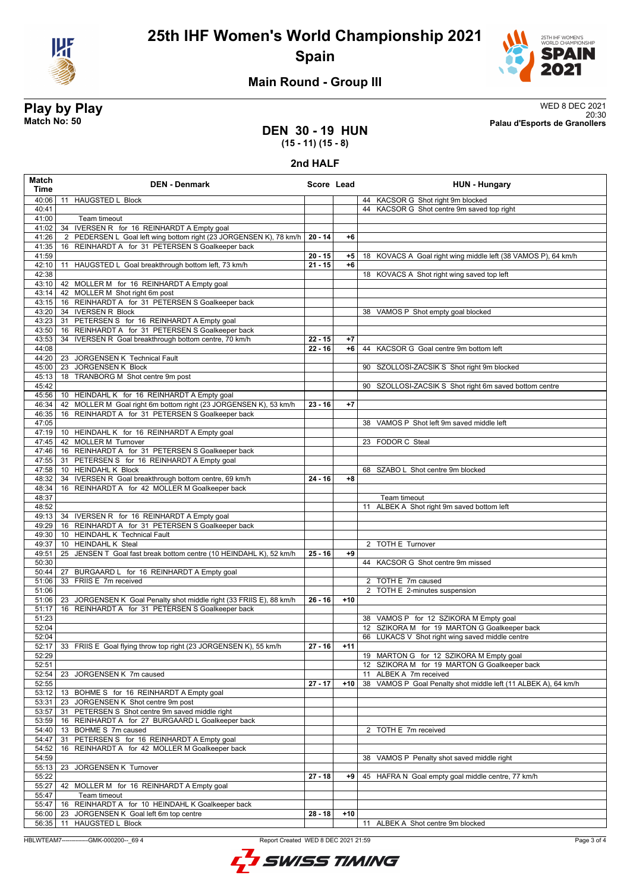



### **Main Round - Group III**

**Play by Play**<br>Match No: 50<br>Palau d'Esports de Granollers 20:30 **Match No: 50 Palau d'Esports de Granollers**

#### **DEN 30 - 19 HUN (15 - 11) (15 - 8)**

**2nd HALF**

| Match<br><b>Time</b> | <b>DEN - Denmark</b>                                                               | Score Lead           |              | <b>HUN - Hungary</b>                                           |
|----------------------|------------------------------------------------------------------------------------|----------------------|--------------|----------------------------------------------------------------|
| 40:06                | 11 HAUGSTED L Block                                                                |                      |              | 44 KACSOR G Shot right 9m blocked                              |
| 40:41                |                                                                                    |                      |              | 44 KACSOR G Shot centre 9m saved top right                     |
| 41:00                | Team timeout                                                                       |                      |              |                                                                |
| 41:02                | 34 IVERSEN R for 16 REINHARDT A Empty goal                                         |                      |              |                                                                |
| 41:26                | PEDERSEN L Goal left wing bottom right (23 JORGENSEN K), 78 km/h<br>$\overline{2}$ | $20 - 14$            | $+6$         |                                                                |
| 41:35                | 16 REINHARDT A for 31 PETERSEN S Goalkeeper back                                   |                      |              |                                                                |
| 41:59                |                                                                                    | 20 - 15<br>$21 - 15$ | $+5$<br>$+6$ | 18 KOVACS A Goal right wing middle left (38 VAMOS P), 64 km/h  |
| 42:10<br>42:38       | HAUGSTED L Goal breakthrough bottom left, 73 km/h<br>11                            |                      |              | 18 KOVACS A Shot right wing saved top left                     |
| 43:10                | 42 MOLLER M for 16 REINHARDT A Empty goal                                          |                      |              |                                                                |
| 43:14                | 42 MOLLER M Shot right 6m post                                                     |                      |              |                                                                |
| 43:15                | 16 REINHARDT A for 31 PETERSEN S Goalkeeper back                                   |                      |              |                                                                |
| 43:20                | 34 IVERSEN R Block                                                                 |                      |              | 38 VAMOS P Shot empty goal blocked                             |
| 43:23                | 31 PETERSEN S for 16 REINHARDT A Empty goal                                        |                      |              |                                                                |
| 43:50                | 16 REINHARDT A for 31 PETERSEN S Goalkeeper back                                   |                      |              |                                                                |
| 43:53                | IVERSEN R Goal breakthrough bottom centre, 70 km/h<br>34                           | 22 - 15              | $+7$         |                                                                |
| 44:08                |                                                                                    | $22 - 16$            | $+6$         | 44 KACSOR G Goal centre 9m bottom left                         |
| 44:20                | 23 JORGENSEN K Technical Fault                                                     |                      |              |                                                                |
| 45:00                | 23 JORGENSEN K Block                                                               |                      |              | 90 SZOLLOSI-ZACSIK S Shot right 9m blocked                     |
| 45:13                | 18 TRANBORG M Shot centre 9m post                                                  |                      |              |                                                                |
| 45:42<br>45:56       | 10 HEINDAHL K for 16 REINHARDT A Empty goal                                        |                      |              | 90 SZOLLOSI-ZACSIK S Shot right 6m saved bottom centre         |
| 46:34                | 42 MOLLER M Goal right 6m bottom right (23 JORGENSEN K), 53 km/h                   | $23 - 16$            | $+7$         |                                                                |
| 46:35                | 16 REINHARDT A for 31 PETERSEN S Goalkeeper back                                   |                      |              |                                                                |
| 47:05                |                                                                                    |                      |              | 38 VAMOS P Shot left 9m saved middle left                      |
| 47:19                | 10 HEINDAHL K for 16 REINHARDT A Empty goal                                        |                      |              |                                                                |
| 47:45                | 42 MOLLER M Turnover                                                               |                      |              | 23 FODOR C Steal                                               |
| 47:46                | 16 REINHARDT A for 31 PETERSEN S Goalkeeper back                                   |                      |              |                                                                |
| 47:55                | PETERSEN S for 16 REINHARDT A Empty goal<br>31                                     |                      |              |                                                                |
| 47:58                | 10 HEINDAHL K Block                                                                |                      |              | 68 SZABO L Shot centre 9m blocked                              |
| 48:32                | 34 IVERSEN R Goal breakthrough bottom centre, 69 km/h                              | $24 - 16$            | $+8$         |                                                                |
| 48:34                | 16 REINHARDT A for 42 MOLLER M Goalkeeper back                                     |                      |              |                                                                |
| 48:37                |                                                                                    |                      |              | Team timeout                                                   |
| 48:52                | 49:13 34 IVERSEN R for 16 REINHARDT A Empty goal                                   |                      |              | 11 ALBEK A Shot right 9m saved bottom left                     |
| 49:29                | 16 REINHARDT A for 31 PETERSEN S Goalkeeper back                                   |                      |              |                                                                |
| 49:30                | 10 HEINDAHL K Technical Fault                                                      |                      |              |                                                                |
| 49:37                | 10 HEINDAHL K Steal                                                                |                      |              | 2 TOTH E Turnover                                              |
| 49:51                | 25 JENSEN T Goal fast break bottom centre (10 HEINDAHL K), 52 km/h                 | $25 - 16$            | $+9$         |                                                                |
| 50:30                |                                                                                    |                      |              | 44 KACSOR G Shot centre 9m missed                              |
| 50:44                | 27 BURGAARD L for 16 REINHARDT A Empty goal                                        |                      |              |                                                                |
| 51:06                | FRIIS E 7m received<br>33                                                          |                      |              | 2 TOTH E 7m caused                                             |
| 51:06                |                                                                                    |                      |              | 2 TOTH E 2-minutes suspension                                  |
| 51:06                | JORGENSEN K Goal Penalty shot middle right (33 FRIIS E), 88 km/h<br>23             | $26 - 16$            | $+10$        |                                                                |
| 51:17<br>51:23       | 16 REINHARDT A for 31 PETERSEN S Goalkeeper back                                   |                      |              | 38 VAMOS P for 12 SZIKORA M Empty goal                         |
| 52:04                |                                                                                    |                      |              | 12 SZIKORA M for 19 MARTON G Goalkeeper back                   |
| 52:04                |                                                                                    |                      |              | 66 LUKACS V Shot right wing saved middle centre                |
|                      | 52:17 33 FRIIS E Goal flying throw top right (23 JORGENSEN K), 55 km/h             | $27 - 16$            | $+11$        |                                                                |
| 52:29                |                                                                                    |                      |              | 19 MARTON G for 12 SZIKORA M Empty goal                        |
| 52:51                |                                                                                    |                      |              | 12 SZIKORA M for 19 MARTON G Goalkeeper back                   |
| 52:54                | 23 JORGENSEN K 7m caused                                                           |                      |              | 11 ALBEK A 7m received                                         |
| 52:55                |                                                                                    | $27 - 17$            | $+10$        | 38 VAMOS P Goal Penalty shot middle left (11 ALBEK A), 64 km/h |
| 53:12                | 13 BOHME S for 16 REINHARDT A Empty goal                                           |                      |              |                                                                |
| 53:31                | JORGENSEN K Shot centre 9m post<br>23                                              |                      |              |                                                                |
| 53:57                | PETERSEN S Shot centre 9m saved middle right<br>31                                 |                      |              |                                                                |
| 53:59                | 16 REINHARDT A for 27 BURGAARD L Goalkeeper back<br>13 BOHME S 7m caused           |                      |              |                                                                |
| 54:40<br>54:47       | PETERSEN S for 16 REINHARDT A Empty goal<br>31                                     |                      |              | 2 TOTH E 7m received                                           |
| 54:52                | REINHARDT A for 42 MOLLER M Goalkeeper back<br>16                                  |                      |              |                                                                |
| 54:59                |                                                                                    |                      |              | 38 VAMOS P Penalty shot saved middle right                     |
| 55:13                | JORGENSEN K Turnover<br>23                                                         |                      |              |                                                                |
| 55:22                |                                                                                    | $27 - 18$            | +9           | 45 HAFRA N Goal empty goal middle centre, 77 km/h              |
| 55:27                | 42 MOLLER M for 16 REINHARDT A Empty goal                                          |                      |              |                                                                |
| 55:47                | Team timeout                                                                       |                      |              |                                                                |
| 55:47                | REINHARDT A for 10 HEINDAHL K Goalkeeper back<br>16                                |                      |              |                                                                |
| 56:00                | JORGENSEN K Goal left 6m top centre<br>23                                          | 28 - 18              | $+10$        |                                                                |
| 56:35                | 11 HAUGSTED L Block                                                                |                      |              | 11 ALBEK A Shot centre 9m blocked                              |